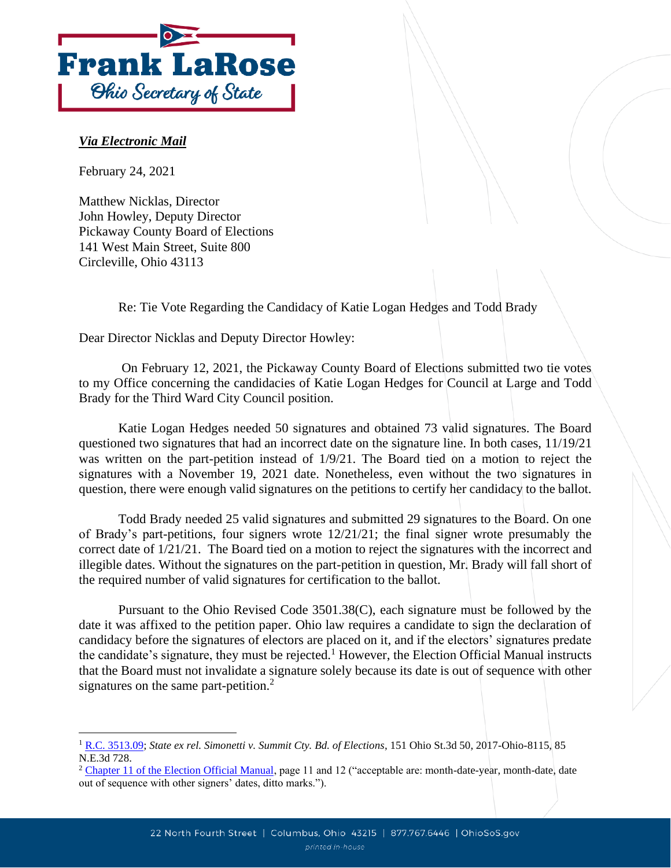

## *Via Electronic Mail*

February 24, 2021

Matthew Nicklas, Director John Howley, Deputy Director Pickaway County Board of Elections 141 West Main Street, Suite 800 Circleville, Ohio 43113

Re: Tie Vote Regarding the Candidacy of Katie Logan Hedges and Todd Brady

Dear Director Nicklas and Deputy Director Howley:

On February 12, 2021, the Pickaway County Board of Elections submitted two tie votes to my Office concerning the candidacies of Katie Logan Hedges for Council at Large and Todd Brady for the Third Ward City Council position.

Katie Logan Hedges needed 50 signatures and obtained 73 valid signatures. The Board questioned two signatures that had an incorrect date on the signature line. In both cases, 11/19/21 was written on the part-petition instead of  $1/9/21$ . The Board tied on a motion to reject the signatures with a November 19, 2021 date. Nonetheless, even without the two signatures in question, there were enough valid signatures on the petitions to certify her candidacy to the ballot.

Todd Brady needed 25 valid signatures and submitted 29 signatures to the Board. On one of Brady's part-petitions, four signers wrote  $12/21/21$ ; the final signer wrote presumably the correct date of 1/21/21. The Board tied on a motion to reject the signatures with the incorrect and illegible dates. Without the signatures on the part-petition in question, Mr. Brady will fall short of the required number of valid signatures for certification to the ballot.

Pursuant to the Ohio Revised Code 3501.38(C), each signature must be followed by the date it was affixed to the petition paper. Ohio law requires a candidate to sign the declaration of candidacy before the signatures of electors are placed on it, and if the electors' signatures predate the candidate's signature, they must be rejected.<sup>1</sup> However, the Election Official Manual instructs that the Board must not invalidate a signature solely because its date is out of sequence with other signatures on the same part-petition.<sup>2</sup>

<sup>1</sup> [R.C. 3513.09;](http://codes.ohio.gov/orc/3513.09) *State ex rel. Simonetti v. Summit Cty. Bd. of Elections*, 151 Ohio St.3d 50, 2017-Ohio-8115, 85 N.E.3d 728.

<sup>&</sup>lt;sup>2</sup> [Chapter 11 of the Election Official Manual,](file://///msprodfps01/SOS/ELECTIONS/ELECT.WP/TIE%20VOTES/2021%20Tie%20Votes/Pickaway%20County/Chapter%2011%20of%20the%20Election%20Official%20Manual) page 11 and 12 ("acceptable are: month-date-year, month-date, date out of sequence with other signers' dates, ditto marks.").